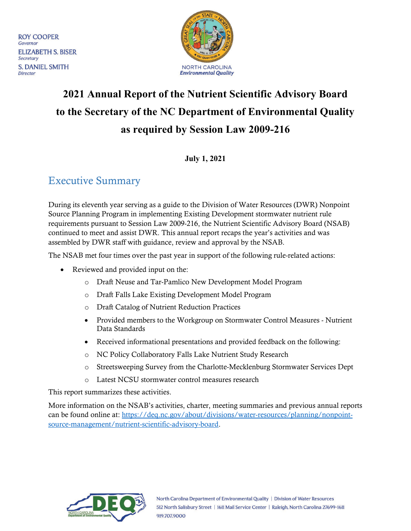**ROY COOPER** Governor **ELIZABETH S. BISER** Secretary **S. DANIEL SMITH Director** 



# **2021 Annual Report of the Nutrient Scientific Advisory Board to the Secretary of the NC Department of Environmental Quality as required by Session Law 2009-216**

**July 1, 2021**

### <span id="page-0-0"></span>Executive Summary

During its eleventh year serving as a guide to the Division of Water Resources (DWR) Nonpoint Source Planning Program in implementing Existing Development stormwater nutrient rule requirements pursuant to [Session Law 2009-216,](#page-7-0) the Nutrient Scientific Advisory Board (NSAB) continued to meet and assist DWR. This annual report recaps the year's activities and was assembled by DWR staff with guidance, review and approval by the NSAB.

The NSAB met four times over the past year in support of the following rule-related actions:

- Reviewed and provided input on the:
	- o Draft Neuse and Tar-Pamlico New Development Model Program
	- o Draft Falls Lake Existing Development Model Program
	- o Draft Catalog of Nutrient Reduction Practices
	- Provided members to the Workgroup on Stormwater Control Measures Nutrient Data Standards
	- Received informational presentations and provided feedback on the following:
	- o NC Policy Collaboratory Falls Lake Nutrient Study Research
	- o Streetsweeping Survey from the Charlotte-Mecklenburg Stormwater Services Dept
	- o Latest NCSU stormwater control measures research

This report summarizes these activities.

More information on the NSAB's activities, charter, meeting summaries and previous annual reports can be found online at: [https://deq.nc.gov/about/divisions/water-resources/planning/nonpoint](https://deq.nc.gov/about/divisions/water-resources/planning/nonpoint-source-management/nutrient-scientific-advisory-board)[source-management/nutrient-scientific-advisory-board.](https://deq.nc.gov/about/divisions/water-resources/planning/nonpoint-source-management/nutrient-scientific-advisory-board)

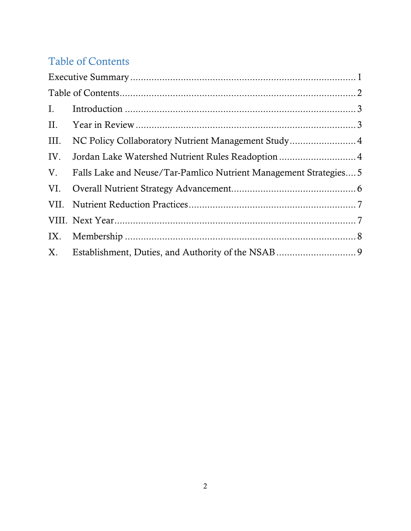## <span id="page-1-0"></span>Table of Contents

| NC Policy Collaboratory Nutrient Management Study4                |  |  |  |  |  |
|-------------------------------------------------------------------|--|--|--|--|--|
|                                                                   |  |  |  |  |  |
| Falls Lake and Neuse/Tar-Pamlico Nutrient Management Strategies 5 |  |  |  |  |  |
|                                                                   |  |  |  |  |  |
|                                                                   |  |  |  |  |  |
|                                                                   |  |  |  |  |  |
|                                                                   |  |  |  |  |  |
|                                                                   |  |  |  |  |  |
|                                                                   |  |  |  |  |  |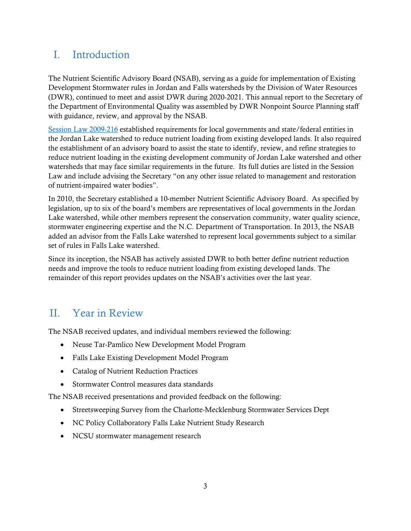### <span id="page-2-0"></span>I. Introduction

The Nutrient Scientific Advisory Board (NSAB), serving as a guide for implementation of Existing Development Stormwater rules in Jordan and Falls watersheds by the Division of Water Resources (DWR), continued to meet and assist DWR during 2020-2021. This annual report to the Secretary of the Department of Environmental Quality was assembled by DWR Nonpoint Source Planning staff with guidance, review, and approval by the NSAB.

[Session Law 2009-216](#page-7-0) established requirements for local governments and state/federal entities in the Jordan Lake watershed to reduce nutrient loading from existing developed lands. It also required the establishment of an advisory board to assist the state to identify, review, and refine strategies to reduce nutrient loading in the existing development community of Jordan Lake watershed and other watersheds that may face similar requirements in the future. Its full duties are listed in the Session Law and include advising the Secretary "on any other issue related to management and restoration of nutrient-impaired water bodies".

In 2010, the Secretary established a 10-member Nutrient Scientific Advisory Board. As specified by legislation, up to six of the board's members are representatives of local governments in the Jordan Lake watershed, while other members represent the conservation community, water quality science, stormwater engineering expertise and the N.C. Department of Transportation. In 2013, the NSAB added an advisor from the Falls Lake watershed to represent local governments subject to a similar set of rules in Falls Lake watershed.

Since its inception, the NSAB has actively assisted DWR to both better define nutrient reduction needs and improve the tools to reduce nutrient loading from existing developed lands. The remainder of this report provides updates on the NSAB's activities over the last year.

## <span id="page-2-1"></span>II. Year in Review

The NSAB received updates, and individual members reviewed the following:

- Neuse Tar-Pamlico New Development Model Program
- Falls Lake Existing Development Model Program
- Catalog of Nutrient Reduction Practices
- Stormwater Control measures data standards

The NSAB received presentations and provided feedback on the following:

- Streetsweeping Survey from the Charlotte-Mecklenburg Stormwater Services Dept
- NC Policy Collaboratory Falls Lake Nutrient Study Research
- NCSU stormwater management research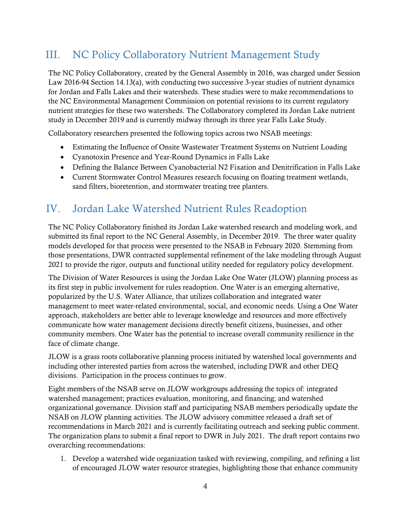### <span id="page-3-0"></span>III. NC Policy Collaboratory Nutrient Management Study

The NC Policy Collaboratory, created by the General Assembly in 2016, was charged under Session Law 2016-94 Section 14.13(a), with conducting two successive 3-year studies of nutrient dynamics for Jordan and Falls Lakes and their watersheds. These studies were to make recommendations to the NC Environmental Management Commission on potential revisions to its current regulatory nutrient strategies for these two watersheds. The Collaboratory completed its Jordan Lake nutrient study in December 2019 and is currently midway through its three year Falls Lake Study.

Collaboratory researchers presented the following topics across two NSAB meetings:

- Estimating the Influence of Onsite Wastewater Treatment Systems on Nutrient Loading
- Cyanotoxin Presence and Year-Round Dynamics in Falls Lake
- Defining the Balance Between Cyanobacterial N2 Fixation and Denitrification in Falls Lake
- Current Stormwater Control Measures research focusing on floating treatment wetlands, sand filters, bioretention, and stormwater treating tree planters.

### <span id="page-3-1"></span>IV. Jordan Lake Watershed Nutrient Rules Readoption

The NC Policy Collaboratory finished its Jordan Lake watershed research and modeling work, and submitted its final report to the NC General Assembly, in December 2019. The three water quality models developed for that process were presented to the NSAB in February 2020. Stemming from those presentations, DWR contracted supplemental refinement of the lake modeling through August 2021 to provide the rigor, outputs and functional utility needed for regulatory policy development.

The Division of Water Resources is using the Jordan Lake One Water (JLOW) planning process as its first step in public involvement for rules readoption. One Water is an emerging alternative, popularized by the U.S. Water Alliance, that utilizes collaboration and integrated water management to meet water-related environmental, social, and economic needs. Using a One Water approach, stakeholders are better able to leverage knowledge and resources and more effectively communicate how water management decisions directly benefit citizens, businesses, and other community members. One Water has the potential to increase overall community resilience in the face of climate change.

JLOW is a grass roots collaborative planning process initiated by watershed local governments and including other interested parties from across the watershed, including DWR and other DEQ divisions. Participation in the process continues to grow.

Eight members of the NSAB serve on JLOW workgroups addressing the topics of: integrated watershed management; practices evaluation, monitoring, and financing; and watershed organizational governance. Division staff and participating NSAB members periodically update the NSAB on JLOW planning activities. The JLOW advisory committee released a draft set of recommendations in March 2021 and is currently facilitating outreach and seeking public comment. The organization plans to submit a final report to DWR in July 2021. The draft report contains two overarching recommendations:

1. Develop a watershed wide organization tasked with reviewing, compiling, and refining a list of encouraged JLOW water resource strategies, highlighting those that enhance community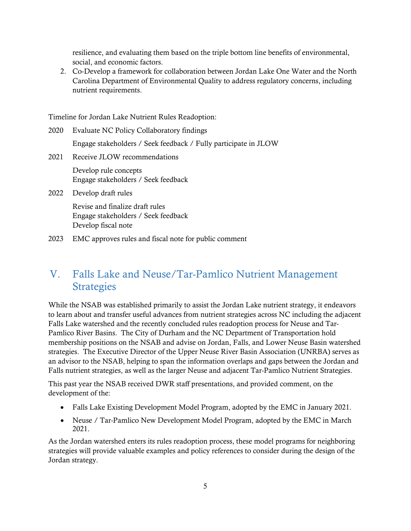resilience, and evaluating them based on the triple bottom line benefits of environmental, social, and economic factors.

2. Co-Develop a framework for collaboration between Jordan Lake One Water and the North Carolina Department of Environmental Quality to address regulatory concerns, including nutrient requirements.

Timeline for Jordan Lake Nutrient Rules Readoption:

| 2020 | Evaluate NC Policy Collaboratory findings                                                     |  |  |
|------|-----------------------------------------------------------------------------------------------|--|--|
|      | Engage stakeholders / Seek feedback / Fully participate in JLOW                               |  |  |
| 2021 | Receive JLOW recommendations                                                                  |  |  |
|      | Develop rule concepts<br>Engage stakeholders / Seek feedback                                  |  |  |
| 2022 | Develop draft rules                                                                           |  |  |
|      | Revise and finalize draft rules<br>Engage stakeholders / Seek feedback<br>Develop fiscal note |  |  |
| 2023 | EMC approves rules and fiscal note for public comment                                         |  |  |

### <span id="page-4-0"></span>V. Falls Lake and Neuse/Tar-Pamlico Nutrient Management **Strategies**

While the NSAB was established primarily to assist the Jordan Lake nutrient strategy, it endeavors to learn about and transfer useful advances from nutrient strategies across NC including the adjacent Falls Lake watershed and the recently concluded rules readoption process for Neuse and Tar-Pamlico River Basins. The City of Durham and the NC Department of Transportation hold membership positions on the NSAB and advise on Jordan, Falls, and Lower Neuse Basin watershed strategies. The Executive Director of the Upper Neuse River Basin Association (UNRBA) serves as an advisor to the NSAB, helping to span the information overlaps and gaps between the Jordan and Falls nutrient strategies, as well as the larger Neuse and adjacent Tar-Pamlico Nutrient Strategies.

This past year the NSAB received DWR staff presentations, and provided comment, on the development of the:

- Falls Lake Existing Development Model Program, adopted by the EMC in January 2021.
- Neuse / Tar-Pamlico New Development Model Program, adopted by the EMC in March 2021.

As the Jordan watershed enters its rules readoption process, these model programs for neighboring strategies will provide valuable examples and policy references to consider during the design of the Jordan strategy.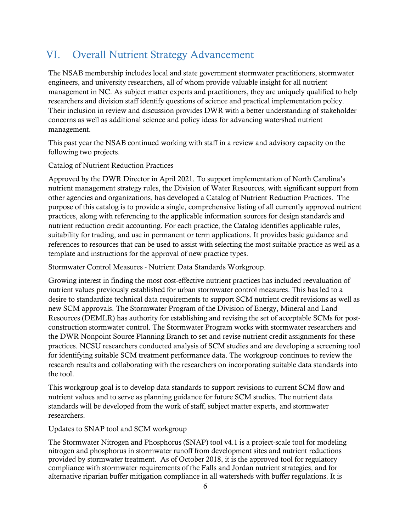### <span id="page-5-0"></span>VI. Overall Nutrient Strategy Advancement

The NSAB membership includes local and state government stormwater practitioners, stormwater engineers, and university researchers, all of whom provide valuable insight for all nutrient management in NC. As subject matter experts and practitioners, they are uniquely qualified to help researchers and division staff identify questions of science and practical implementation policy. Their inclusion in review and discussion provides DWR with a better understanding of stakeholder concerns as well as additional science and policy ideas for advancing watershed nutrient management.

This past year the NSAB continued working with staff in a review and advisory capacity on the following two projects.

#### Catalog of Nutrient Reduction Practices

Approved by the DWR Director in April 2021. To support implementation of North Carolina's nutrient management strategy rules, the Division of Water Resources, with significant support from other agencies and organizations, has developed a Catalog of Nutrient Reduction Practices. The purpose of this catalog is to provide a single, comprehensive listing of all currently approved nutrient practices, along with referencing to the applicable information sources for design standards and nutrient reduction credit accounting. For each practice, the Catalog identifies applicable rules, suitability for trading, and use in permanent or term applications. It provides basic guidance and references to resources that can be used to assist with selecting the most suitable practice as well as a template and instructions for the approval of new practice types.

Stormwater Control Measures - Nutrient Data Standards Workgroup.

Growing interest in finding the most cost-effective nutrient practices has included reevaluation of nutrient values previously established for urban stormwater control measures. This has led to a desire to standardize technical data requirements to support SCM nutrient credit revisions as well as new SCM approvals. The Stormwater Program of the Division of Energy, Mineral and Land Resources (DEMLR) has authority for establishing and revising the set of acceptable SCMs for postconstruction stormwater control. The Stormwater Program works with stormwater researchers and the DWR Nonpoint Source Planning Branch to set and revise nutrient credit assignments for these practices. NCSU researchers conducted analysis of SCM studies and are developing a screening tool for identifying suitable SCM treatment performance data. The workgroup continues to review the research results and collaborating with the researchers on incorporating suitable data standards into the tool.

This workgroup goal is to develop data standards to support revisions to current SCM flow and nutrient values and to serve as planning guidance for future SCM studies. The nutrient data standards will be developed from the work of staff, subject matter experts, and stormwater researchers.

#### Updates to SNAP tool and SCM workgroup

The Stormwater Nitrogen and Phosphorus (SNAP) tool v4.1 is a project-scale tool for modeling nitrogen and phosphorus in stormwater runoff from development sites and nutrient reductions provided by stormwater treatment. As of October 2018, it is the approved tool for regulatory compliance with stormwater requirements of the Falls and Jordan nutrient strategies, and for alternative riparian buffer mitigation compliance in all watersheds with buffer regulations. It is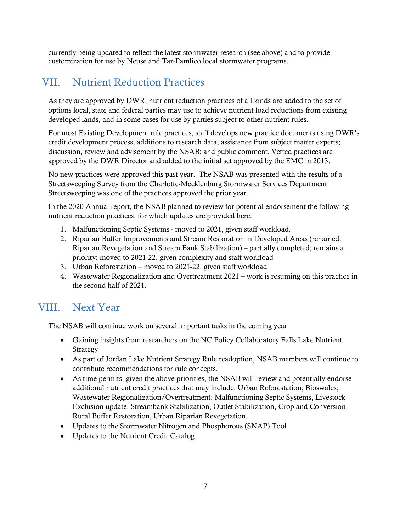currently being updated to reflect the latest stormwater research (see above) and to provide customization for use by Neuse and Tar-Pamlico local stormwater programs.

### <span id="page-6-0"></span>VII. Nutrient Reduction Practices

As they are approved by DWR, nutrient reduction practices of all kinds are added to the set of options local, state and federal parties may use to achieve nutrient load reductions from existing developed lands, and in some cases for use by parties subject to other nutrient rules.

For most Existing Development rule practices, staff develops new practice documents using DWR's credit development process; additions to research data; assistance from subject matter experts; discussion, review and advisement by the NSAB; and public comment. Vetted practices are approved by the DWR Director and added to the initial set approved by the EMC in 2013.

No new practices were approved this past year. The NSAB was presented with the results of a Streetsweeping Survey from the Charlotte-Mecklenburg Stormwater Services Department. Streetsweeping was one of the practices approved the prior year.

In the 2020 Annual report, the NSAB planned to review for potential endorsement the following nutrient reduction practices, for which updates are provided here:

- 1. Malfunctioning Septic Systems moved to 2021, given staff workload.
- 2. Riparian Buffer Improvements and Stream Restoration in Developed Areas (renamed: Riparian Revegetation and Stream Bank Stabilization) – partially completed; remains a priority; moved to 2021-22, given complexity and staff workload
- 3. Urban Reforestation moved to 2021-22, given staff workload
- 4. Wastewater Regionalization and Overtreatment 2021 work is resuming on this practice in the second half of 2021.

### <span id="page-6-1"></span>VIII. Next Year

The NSAB will continue work on several important tasks in the coming year:

- Gaining insights from researchers on the NC Policy Collaboratory Falls Lake Nutrient Strategy
- As part of Jordan Lake Nutrient Strategy Rule readoption, NSAB members will continue to contribute recommendations for rule concepts.
- As time permits, given the above priorities, the NSAB will review and potentially endorse additional nutrient credit practices that may include: Urban Reforestation; Bioswales; Wastewater Regionalization/Overtreatment; Malfunctioning Septic Systems, Livestock Exclusion update, Streambank Stabilization, Outlet Stabilization, Cropland Conversion, Rural Buffer Restoration, Urban Riparian Revegetation.
- Updates to the Stormwater Nitrogen and Phosphorous (SNAP) Tool
- Updates to the Nutrient Credit Catalog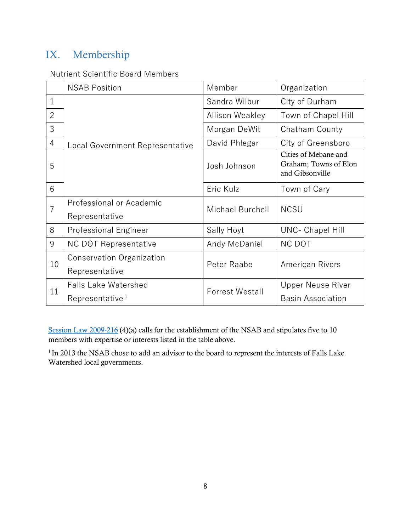## <span id="page-7-1"></span>IX. Membership

### Nutrient Scientific Board Members

|                | <b>NSAB Position</b>                       | Member                 | Organization                                                     |
|----------------|--------------------------------------------|------------------------|------------------------------------------------------------------|
| 1              | <b>Local Government Representative</b>     | Sandra Wilbur          | City of Durham                                                   |
| $\overline{2}$ |                                            | <b>Allison Weakley</b> | Town of Chapel Hill                                              |
| 3              |                                            | Morgan DeWit           | Chatham County                                                   |
| $\overline{4}$ |                                            | David Phlegar          | City of Greensboro                                               |
| 5              |                                            | Josh Johnson           | Cities of Mebane and<br>Graham; Towns of Elon<br>and Gibsonville |
| 6              |                                            | Eric Kulz              | Town of Cary                                                     |
| $\overline{7}$ | Professional or Academic<br>Representative | Michael Burchell       | <b>NCSU</b>                                                      |
| 8              | <b>Professional Engineer</b>               | Sally Hoyt             | <b>UNC- Chapel Hill</b>                                          |
| 9              | <b>NC DOT Representative</b>               | Andy McDaniel          | <b>NC DOT</b>                                                    |
| 10             | <b>Conservation Organization</b>           | Peter Raabe            | <b>American Rivers</b>                                           |
|                | Representative                             |                        |                                                                  |
| 11             | <b>Falls Lake Watershed</b>                | <b>Forrest Westall</b> | <b>Upper Neuse River</b>                                         |
|                | Representative <sup>1</sup>                |                        | <b>Basin Association</b>                                         |

[Session Law 2009-216](#page-7-0) (4)(a) calls for the establishment of the NSAB and stipulates five to 10 members with expertise or interests listed in the table above.

<span id="page-7-0"></span><sup>1</sup> In 2013 the NSAB chose to add an advisor to the board to represent the interests of Falls Lake Watershed local governments.